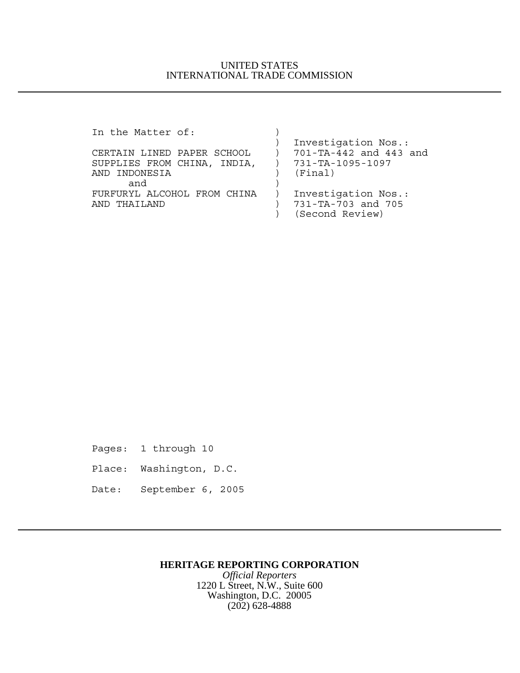## UNITED STATES INTERNATIONAL TRADE COMMISSION

In the Matter of: ) Investigation Nos.: CERTAIN LINED PAPER SCHOOL ) 701-TA-442 and 443 and SUPPLIES FROM CHINA, INDIA, ) 731-TA-1095-1097 AND INDONESIA ) (Final) and ) FURFURYL ALCOHOL FROM CHINA ) Investigation Nos.: AND THAILAND ) 731-TA-703 and 705 ) (Second Review)

Pages: 1 through 10

- Place: Washington, D.C.
- Date: September 6, 2005

## **HERITAGE REPORTING CORPORATION**

*Official Reporters* 1220 L Street, N.W., Suite 600 Washington, D.C. 20005 (202) 628-4888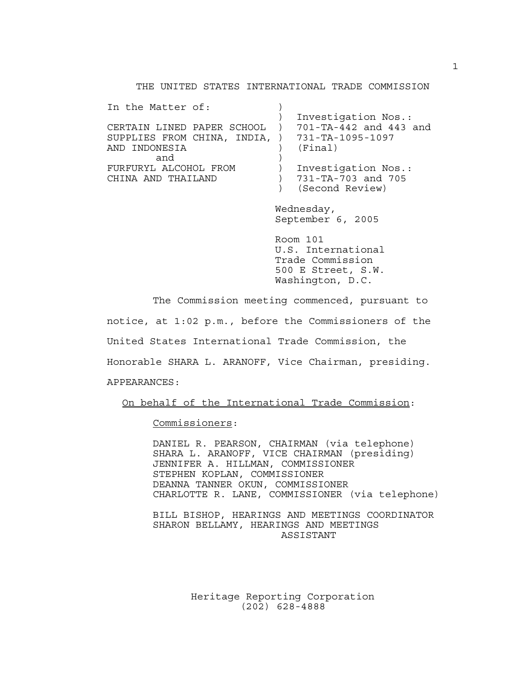THE UNITED STATES INTERNATIONAL TRADE COMMISSION

| In the Matter of:                              |                        |
|------------------------------------------------|------------------------|
|                                                | Investigation Nos.:    |
| CERTAIN LINED PAPER SCHOOL                     | 701-TA-442 and 443 and |
| SUPPLIES FROM CHINA, INDIA, ) 731-TA-1095-1097 |                        |
| AND INDONESIA                                  | (Final)                |
| and                                            |                        |
| FURFURYL ALCOHOL FROM                          | Investigation Nos.:    |
| CHINA AND THAILAND                             | 731-TA-703 and 705     |
|                                                | (Second Review)        |

Wednesday, September 6, 2005

Room 101 U.S. International Trade Commission 500 E Street, S.W. Washington, D.C.

The Commission meeting commenced, pursuant to notice, at 1:02 p.m., before the Commissioners of the United States International Trade Commission, the Honorable SHARA L. ARANOFF, Vice Chairman, presiding. APPEARANCES:

On behalf of the International Trade Commission:

Commissioners:

DANIEL R. PEARSON, CHAIRMAN (via telephone) SHARA L. ARANOFF, VICE CHAIRMAN (presiding) JENNIFER A. HILLMAN, COMMISSIONER STEPHEN KOPLAN, COMMISSIONER DEANNA TANNER OKUN, COMMISSIONER CHARLOTTE R. LANE, COMMISSIONER (via telephone)

BILL BISHOP, HEARINGS AND MEETINGS COORDINATOR SHARON BELLAMY, HEARINGS AND MEETINGS ASSISTANT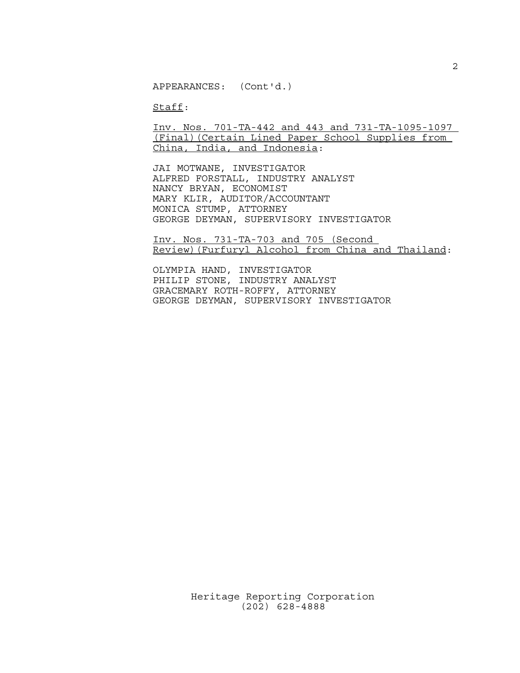APPEARANCES: (Cont'd.)

Staff:

Inv. Nos. 701-TA-442 and 443 and 731-TA-1095-1097 (Final)(Certain Lined Paper School Supplies from China, India, and Indonesia:

JAI MOTWANE, INVESTIGATOR ALFRED FORSTALL, INDUSTRY ANALYST NANCY BRYAN, ECONOMIST MARY KLIR, AUDITOR/ACCOUNTANT MONICA STUMP, ATTORNEY GEORGE DEYMAN, SUPERVISORY INVESTIGATOR

Inv. Nos. 731-TA-703 and 705 (Second Review)(Furfuryl Alcohol from China and Thailand:

OLYMPIA HAND, INVESTIGATOR PHILIP STONE, INDUSTRY ANALYST GRACEMARY ROTH-ROFFY, ATTORNEY GEORGE DEYMAN, SUPERVISORY INVESTIGATOR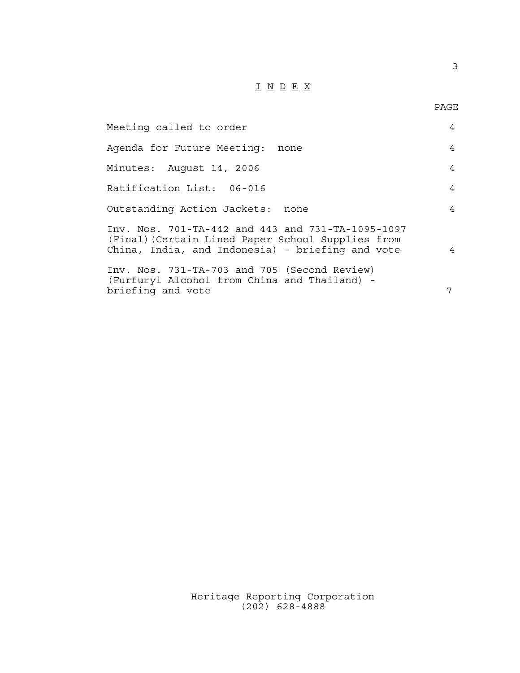## $\underline{\texttt{I}} \underline{\texttt{N}} \underline{\texttt{D}} \underline{\texttt{E}} \underline{\texttt{X}}$

3

| Meeting called to order                                                                                                                                    | $\overline{4}$ |
|------------------------------------------------------------------------------------------------------------------------------------------------------------|----------------|
| Agenda for Future Meeting: none                                                                                                                            | $\overline{4}$ |
| Minutes: August 14, 2006                                                                                                                                   | $\overline{4}$ |
| Ratification List: 06-016                                                                                                                                  | $\overline{4}$ |
| Outstanding Action Jackets: none                                                                                                                           | $\overline{4}$ |
| Inv. Nos. 701-TA-442 and 443 and 731-TA-1095-1097<br>(Final) (Certain Lined Paper School Supplies from<br>China, India, and Indonesia) - briefing and vote | $\overline{4}$ |
| Inv. Nos. 731-TA-703 and 705 (Second Review)<br>(Furfuryl Alcohol from China and Thailand) -<br>briefing and vote                                          | 7              |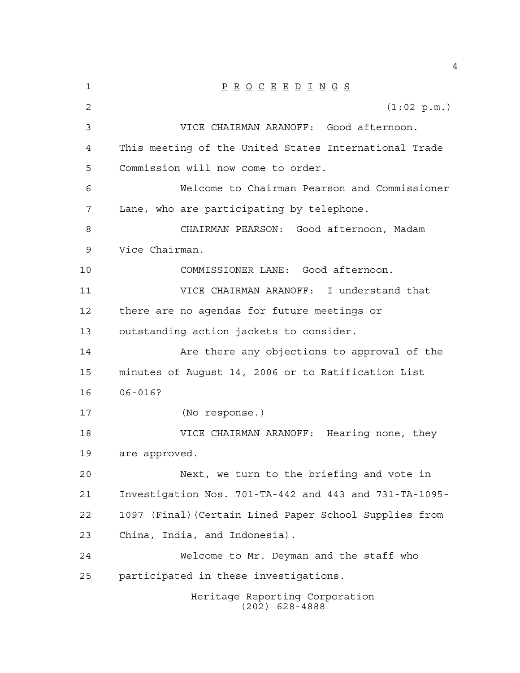| 1              | $\underline{P} \underline{R} \underline{O} \underline{C} \underline{E} \underline{E} \underline{D} \underline{I} \underline{N} \underline{G} \underline{S}$ |
|----------------|-------------------------------------------------------------------------------------------------------------------------------------------------------------|
| $\overline{c}$ | (1:02 p.m.)                                                                                                                                                 |
| 3              | VICE CHAIRMAN ARANOFF: Good afternoon.                                                                                                                      |
| 4              | This meeting of the United States International Trade                                                                                                       |
| 5              | Commission will now come to order.                                                                                                                          |
| 6              | Welcome to Chairman Pearson and Commissioner                                                                                                                |
| 7              | Lane, who are participating by telephone.                                                                                                                   |
| 8              | CHAIRMAN PEARSON: Good afternoon, Madam                                                                                                                     |
| 9              | Vice Chairman.                                                                                                                                              |
| 10             | COMMISSIONER LANE: Good afternoon.                                                                                                                          |
| 11             | VICE CHAIRMAN ARANOFF: I understand that                                                                                                                    |
| 12             | there are no agendas for future meetings or                                                                                                                 |
| 13             | outstanding action jackets to consider.                                                                                                                     |
| 14             | Are there any objections to approval of the                                                                                                                 |
| 15             | minutes of August 14, 2006 or to Ratification List                                                                                                          |
| 16             | $06 - 016?$                                                                                                                                                 |
| 17             | (No response.)                                                                                                                                              |
| 18             | VICE CHAIRMAN ARANOFF: Hearing none, they                                                                                                                   |
| 19             | are approved.                                                                                                                                               |
| 20             | Next, we turn to the briefing and vote in                                                                                                                   |
| 21             | Investigation Nos. 701-TA-442 and 443 and 731-TA-1095-                                                                                                      |
| 22             | 1097 (Final) (Certain Lined Paper School Supplies from                                                                                                      |
| 23             | China, India, and Indonesia).                                                                                                                               |
| 24             | Welcome to Mr. Deyman and the staff who                                                                                                                     |
| 25             | participated in these investigations.                                                                                                                       |
|                | Heritage Reporting Corporation<br>$(202)$ 628-4888                                                                                                          |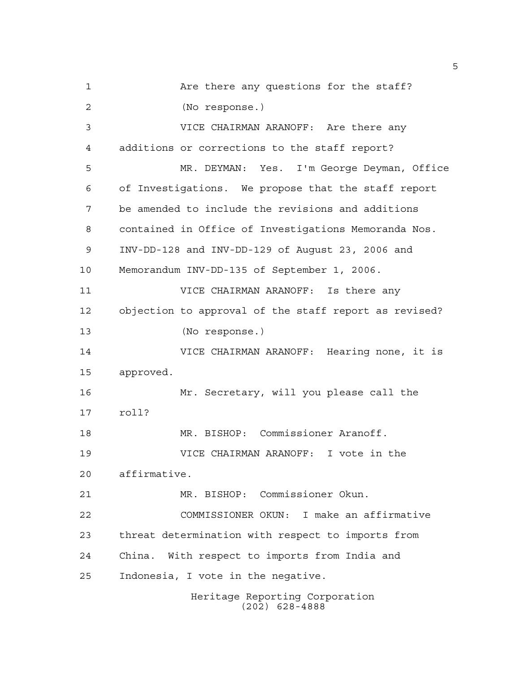Heritage Reporting Corporation Are there any questions for the staff? (No response.) VICE CHAIRMAN ARANOFF: Are there any additions or corrections to the staff report? MR. DEYMAN: Yes. I'm George Deyman, Office of Investigations. We propose that the staff report be amended to include the revisions and additions contained in Office of Investigations Memoranda Nos. INV-DD-128 and INV-DD-129 of August 23, 2006 and Memorandum INV-DD-135 of September 1, 2006. VICE CHAIRMAN ARANOFF: Is there any objection to approval of the staff report as revised? (No response.) VICE CHAIRMAN ARANOFF: Hearing none, it is approved. Mr. Secretary, will you please call the roll? MR. BISHOP: Commissioner Aranoff. VICE CHAIRMAN ARANOFF: I vote in the affirmative. MR. BISHOP: Commissioner Okun. COMMISSIONER OKUN: I make an affirmative threat determination with respect to imports from China. With respect to imports from India and Indonesia, I vote in the negative.

(202) 628-4888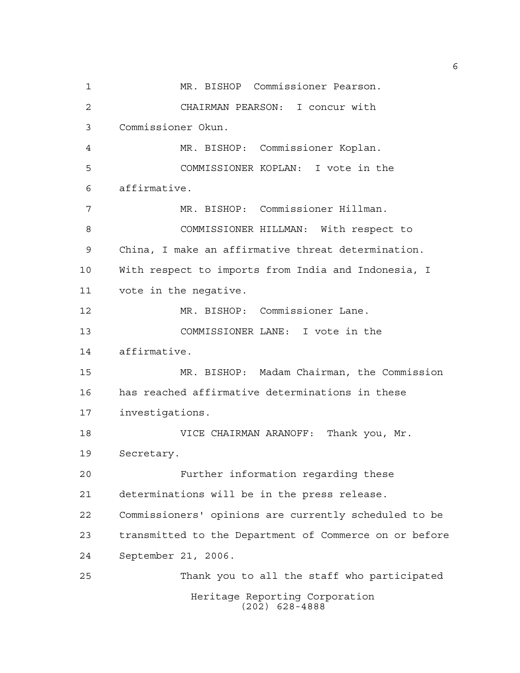Heritage Reporting Corporation (202) 628-4888 MR. BISHOP Commissioner Pearson. CHAIRMAN PEARSON: I concur with Commissioner Okun. MR. BISHOP: Commissioner Koplan. COMMISSIONER KOPLAN: I vote in the affirmative. MR. BISHOP: Commissioner Hillman. COMMISSIONER HILLMAN: With respect to China, I make an affirmative threat determination. With respect to imports from India and Indonesia, I vote in the negative. MR. BISHOP: Commissioner Lane. COMMISSIONER LANE: I vote in the affirmative. MR. BISHOP: Madam Chairman, the Commission has reached affirmative determinations in these investigations. VICE CHAIRMAN ARANOFF: Thank you, Mr. Secretary. Further information regarding these determinations will be in the press release. Commissioners' opinions are currently scheduled to be transmitted to the Department of Commerce on or before September 21, 2006. Thank you to all the staff who participated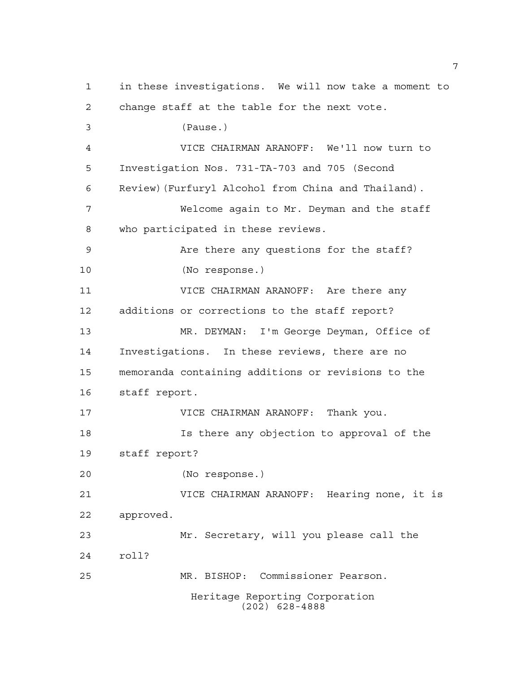Heritage Reporting Corporation (202) 628-4888 in these investigations. We will now take a moment to change staff at the table for the next vote. (Pause.) VICE CHAIRMAN ARANOFF: We'll now turn to Investigation Nos. 731-TA-703 and 705 (Second Review)(Furfuryl Alcohol from China and Thailand). Welcome again to Mr. Deyman and the staff who participated in these reviews. Are there any questions for the staff? (No response.) VICE CHAIRMAN ARANOFF: Are there any additions or corrections to the staff report? MR. DEYMAN: I'm George Deyman, Office of Investigations. In these reviews, there are no memoranda containing additions or revisions to the staff report. VICE CHAIRMAN ARANOFF: Thank you. Is there any objection to approval of the staff report? (No response.) VICE CHAIRMAN ARANOFF: Hearing none, it is approved. Mr. Secretary, will you please call the roll? MR. BISHOP: Commissioner Pearson.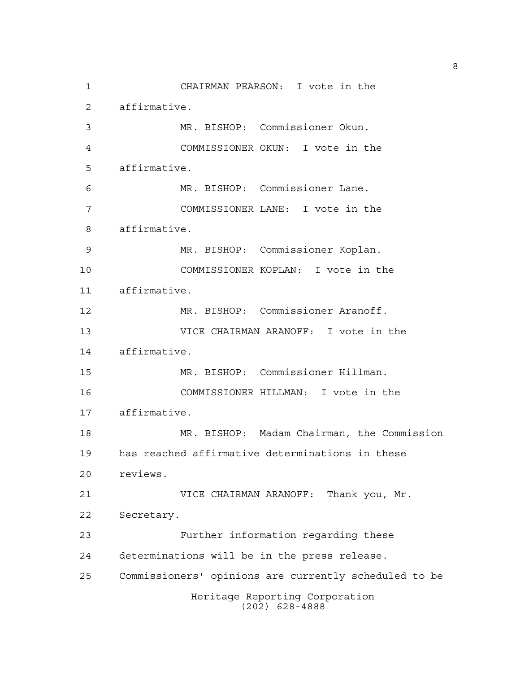Heritage Reporting Corporation (202) 628-4888 CHAIRMAN PEARSON: I vote in the affirmative. MR. BISHOP: Commissioner Okun. COMMISSIONER OKUN: I vote in the affirmative. MR. BISHOP: Commissioner Lane. COMMISSIONER LANE: I vote in the affirmative. MR. BISHOP: Commissioner Koplan. COMMISSIONER KOPLAN: I vote in the affirmative. MR. BISHOP: Commissioner Aranoff. VICE CHAIRMAN ARANOFF: I vote in the affirmative. MR. BISHOP: Commissioner Hillman. COMMISSIONER HILLMAN: I vote in the affirmative. MR. BISHOP: Madam Chairman, the Commission has reached affirmative determinations in these reviews. VICE CHAIRMAN ARANOFF: Thank you, Mr. Secretary. Further information regarding these determinations will be in the press release. Commissioners' opinions are currently scheduled to be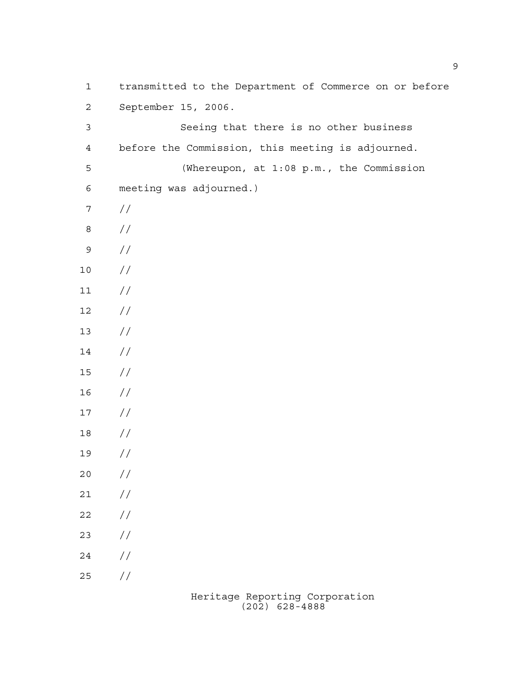transmitted to the Department of Commerce on or before September 15, 2006.

| $\mathsf 3$      | Seeing that there is no other business            |
|------------------|---------------------------------------------------|
| $\sqrt{4}$       | before the Commission, this meeting is adjourned. |
| 5                | (Whereupon, at 1:08 p.m., the Commission          |
| 6                | meeting was adjourned.)                           |
| $\boldsymbol{7}$ | $\frac{1}{2}$                                     |
| $\,8\,$          | $\frac{1}{2}$                                     |
| $\mathsf 9$      | $\frac{1}{2}$                                     |
| $10$             | //                                                |
| $11$             | //                                                |
| $12$             | //                                                |
| 13               | //                                                |
| 14               | //                                                |
| $15$             | //                                                |
| 16               | //                                                |
| $17$             | //                                                |
| $18\,$           | //                                                |
| 19               | $\frac{1}{2}$                                     |
| $20$             | $\frac{1}{2}$                                     |
| 21               | //                                                |
| 22               | //                                                |
| 23               | //                                                |
| 24               | //                                                |
| 25               | //                                                |
|                  |                                                   |